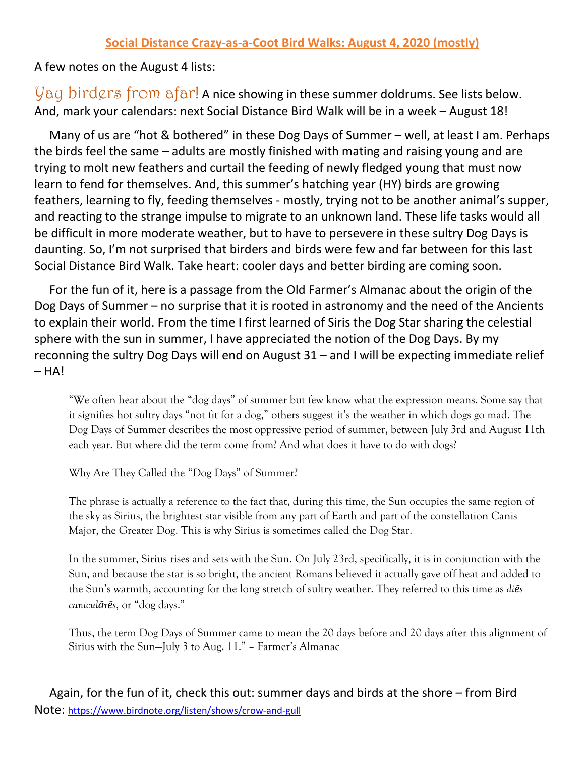A few notes on the August 4 lists:

 $y_{\alpha}$  bird $\varphi$ rs from  $afar!$  A nice showing in these summer doldrums. See lists below. And, mark your calendars: next Social Distance Bird Walk will be in a week – August 18!

 Many of us are "hot & bothered" in these Dog Days of Summer – well, at least I am. Perhaps the birds feel the same – adults are mostly finished with mating and raising young and are trying to molt new feathers and curtail the feeding of newly fledged young that must now learn to fend for themselves. And, this summer's hatching year (HY) birds are growing feathers, learning to fly, feeding themselves - mostly, trying not to be another animal's supper, and reacting to the strange impulse to migrate to an unknown land. These life tasks would all be difficult in more moderate weather, but to have to persevere in these sultry Dog Days is daunting. So, I'm not surprised that birders and birds were few and far between for this last Social Distance Bird Walk. Take heart: cooler days and better birding are coming soon.

 For the fun of it, here is a passage from the Old Farmer's Almanac about the origin of the Dog Days of Summer – no surprise that it is rooted in astronomy and the need of the Ancients to explain their world. From the time I first learned of Siris the Dog Star sharing the celestial sphere with the sun in summer, I have appreciated the notion of the Dog Days. By my reconning the sultry Dog Days will end on August 31 – and I will be expecting immediate relief  $- HA!$ 

"We often hear about the "dog days" of summer but few know what the expression means. Some say that it signifies hot sultry days "not fit for a dog," others suggest it's the weather in which dogs go mad. The Dog Days of Summer describes the most oppressive period of summer, between July 3rd and August 11th each year. But where did the term come from? And what does it have to do with dogs?

Why Are They Called the "Dog Days" of Summer?

The phrase is actually a reference to the fact that, during this time, the Sun occupies the same region of the sky as [Sirius,](https://protect-us.mimecast.com/s/RxQMCM8KXjIoyJjZfWZjuC?domain=farmersalmanac.com) the brightest star visible from any part of Earth and part of the constellation Canis Major, the Greater Dog. This is why Sirius is sometimes called the Dog Star.

In the summer, Sirius rises and sets with the Sun. On July 23rd, specifically, it is in conjunction with the Sun, and because the star is so bright, the ancient Romans believed it actually gave off heat and added to the Sun's warmth, accounting for the long stretch of sultry weather. They referred to this time as *diēs caniculārēs*, or "dog days."

Thus, the term Dog Days of Summer came to mean the 20 days before and 20 days after this alignment of Sirius with the Sun—July 3 to Aug. 11." – Farmer's Almanac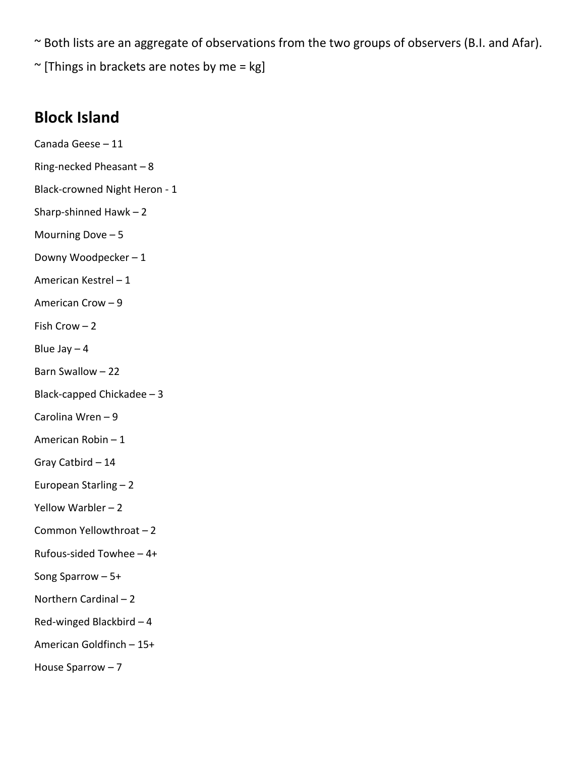~ Both lists are an aggregate of observations from the two groups of observers (B.I. and Afar).

 $\sim$  [Things in brackets are notes by me = kg]

## **Block Island**

Canada Geese – 11 Ring-necked Pheasant – 8 Black-crowned Night Heron - 1 Sharp-shinned Hawk – 2 Mourning Dove  $-5$ Downy Woodpecker – 1 American Kestrel – 1 American Crow – 9 Fish Crow – 2 Blue Jay  $-4$ Barn Swallow – 22 Black-capped Chickadee – 3 Carolina Wren – 9 American Robin – 1 Gray Catbird – 14 European Starling – 2 Yellow Warbler – 2 Common Yellowthroat – 2 Rufous-sided Towhee – 4+ Song Sparrow – 5+ Northern Cardinal – 2 Red-winged Blackbird – 4 American Goldfinch – 15+ House Sparrow – 7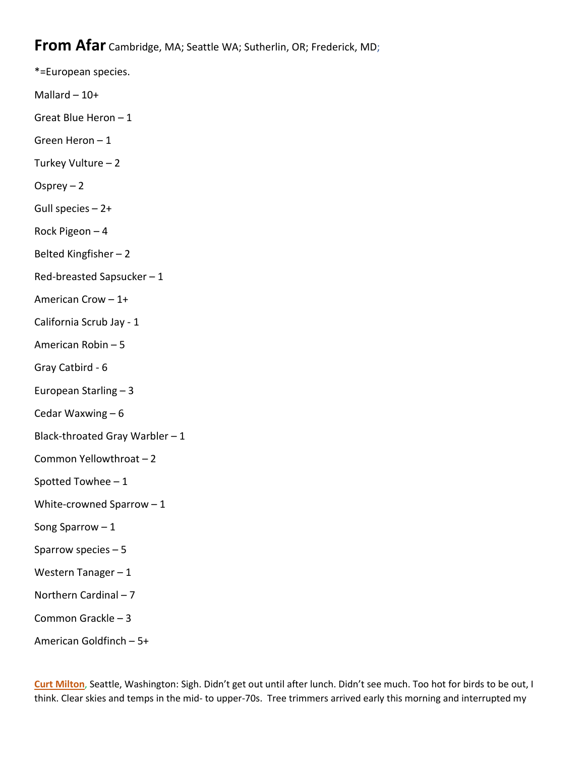## **From Afar** Cambridge, MA; Seattle WA; Sutherlin, OR; Frederick, MD;

\*=European species.

Mallard  $-10+$ 

Great Blue Heron – 1

Green Heron – 1

Turkey Vulture – 2

Osprey – 2

Gull species – 2+

Rock Pigeon – 4

Belted Kingfisher – 2

Red-breasted Sapsucker – 1

American Crow – 1+

California Scrub Jay - 1

American Robin – 5

Gray Catbird - 6

European Starling – 3

Cedar Waxwing – 6

Black-throated Gray Warbler  $-1$ 

Common Yellowthroat – 2

Spotted Towhee – 1

White-crowned Sparrow – 1

Song Sparrow – 1

Sparrow species – 5

Western Tanager – 1

Northern Cardinal – 7

Common Grackle – 3

American Goldfinch – 5+

**Curt Milton**, Seattle, Washington: Sigh. Didn't get out until after lunch. Didn't see much. Too hot for birds to be out, I think. Clear skies and temps in the mid- to upper-70s. Tree trimmers arrived early this morning and interrupted my